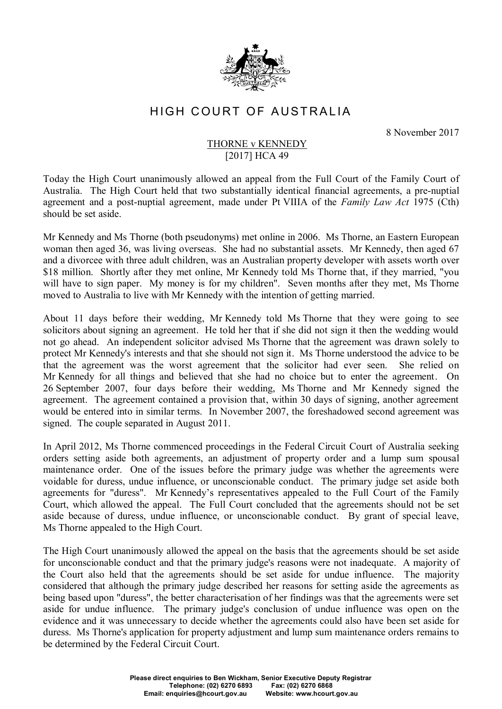

## HIGH COURT OF AUSTRALIA

8 November 2017

## THORNE v KENNEDY [2017] HCA 49

Today the High Court unanimously allowed an appeal from the Full Court of the Family Court of Australia. The High Court held that two substantially identical financial agreements, a pre-nuptial agreement and a post-nuptial agreement, made under Pt VIIIA of the *Family Law Act* 1975 (Cth) should be set aside.

Mr Kennedy and Ms Thorne (both pseudonyms) met online in 2006. Ms Thorne, an Eastern European woman then aged 36, was living overseas. She had no substantial assets. Mr Kennedy, then aged 67 and a divorcee with three adult children, was an Australian property developer with assets worth over \$18 million. Shortly after they met online, Mr Kennedy told Ms Thorne that, if they married, "vou will have to sign paper. My money is for my children". Seven months after they met, Ms Thorne moved to Australia to live with Mr Kennedy with the intention of getting married.

About 11 days before their wedding, Mr Kennedy told Ms Thorne that they were going to see solicitors about signing an agreement. He told her that if she did not sign it then the wedding would not go ahead. An independent solicitor advised Ms Thorne that the agreement was drawn solely to protect Mr Kennedy's interests and that she should not sign it. Ms Thorne understood the advice to be that the agreement was the worst agreement that the solicitor had ever seen. She relied on Mr Kennedy for all things and believed that she had no choice but to enter the agreement. On 26 September 2007, four days before their wedding, Ms Thorne and Mr Kennedy signed the agreement. The agreement contained a provision that, within 30 days of signing, another agreement would be entered into in similar terms. In November 2007, the foreshadowed second agreement was signed. The couple separated in August 2011.

In April 2012, Ms Thorne commenced proceedings in the Federal Circuit Court of Australia seeking orders setting aside both agreements, an adjustment of property order and a lump sum spousal maintenance order. One of the issues before the primary judge was whether the agreements were voidable for duress, undue influence, or unconscionable conduct. The primary judge set aside both agreements for "duress". Mr Kennedy's representatives appealed to the Full Court of the Family Court, which allowed the appeal. The Full Court concluded that the agreements should not be set aside because of duress, undue influence, or unconscionable conduct. By grant of special leave, Ms Thorne appealed to the High Court.

The High Court unanimously allowed the appeal on the basis that the agreements should be set aside for unconscionable conduct and that the primary judge's reasons were not inadequate. A majority of the Court also held that the agreements should be set aside for undue influence. The majority considered that although the primary judge described her reasons for setting aside the agreements as being based upon "duress", the better characterisation of her findings was that the agreements were set aside for undue influence. The primary judge's conclusion of undue influence was open on the evidence and it was unnecessary to decide whether the agreements could also have been set aside for duress. Ms Thorne's application for property adjustment and lump sum maintenance orders remains to be determined by the Federal Circuit Court.